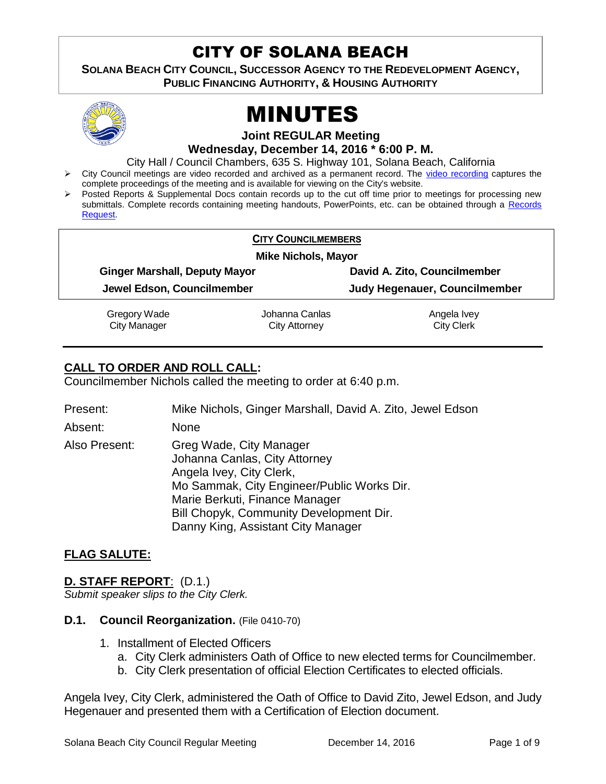# CITY OF SOLANA BEACH

**SOLANA BEACH CITY COUNCIL, SUCCESSOR AGENCY TO THE REDEVELOPMENT AGENCY, PUBLIC FINANCING AUTHORITY, & HOUSING AUTHORITY** 



# MINUTES

**Joint REGULAR Meeting**

**Wednesday, December 14, 2016 \* 6:00 P. M.**

City Hall / Council Chambers, 635 S. Highway 101, Solana Beach, California

- > City Council meetings are video recorded and archived as a permanent record. The [video recording](https://solanabeach.12milesout.com/video/meeting/22528092-d273-4c68-93e8-0f81d322fd8d) captures the complete proceedings of the meeting and is available for viewing on the City's website.
- Posted Reports & Supplemental Docs contain records up to the cut off time prior to meetings for processing new submittals. Complete records containing meeting handouts, PowerPoints, etc. can be obtained through a [Records](http://www.ci.solana-beach.ca.us/index.asp?SEC=F5D45D10-70CE-4291-A27C-7BD633FC6742&Type=B_BASIC)  [Request.](http://www.ci.solana-beach.ca.us/index.asp?SEC=F5D45D10-70CE-4291-A27C-7BD633FC6742&Type=B_BASIC)

| <b>CITY COUNCILMEMBERS</b>           |                |                               |  |  |
|--------------------------------------|----------------|-------------------------------|--|--|
| <b>Mike Nichols, Mayor</b>           |                |                               |  |  |
| <b>Ginger Marshall, Deputy Mayor</b> |                | David A. Zito, Councilmember  |  |  |
| Jewel Edson, Councilmember           |                | Judy Hegenauer, Councilmember |  |  |
| Gregory Wade                         | Johanna Canlas | Angela Ivey                   |  |  |
| <b>City Manager</b>                  | City Attorney  | <b>City Clerk</b>             |  |  |

# **CALL TO ORDER AND ROLL CALL:**

Councilmember Nichols called the meeting to order at 6:40 p.m.

| Present:      | Mike Nichols, Ginger Marshall, David A. Zito, Jewel Edson                                                                                                                                                                                             |
|---------------|-------------------------------------------------------------------------------------------------------------------------------------------------------------------------------------------------------------------------------------------------------|
| Absent:       | None                                                                                                                                                                                                                                                  |
| Also Present: | Greg Wade, City Manager<br>Johanna Canlas, City Attorney<br>Angela Ivey, City Clerk,<br>Mo Sammak, City Engineer/Public Works Dir.<br>Marie Berkuti, Finance Manager<br>Bill Chopyk, Community Development Dir.<br>Danny King, Assistant City Manager |

# **FLAG SALUTE:**

# **D. STAFF REPORT**: (D.1.)

*Submit speaker slips to the City Clerk.*

#### **D.1. Council Reorganization.** (File 0410-70)

- 1. Installment of Elected Officers
	- a. City Clerk administers Oath of Office to new elected terms for Councilmember.
	- b. City Clerk presentation of official Election Certificates to elected officials.

Angela Ivey, City Clerk, administered the Oath of Office to David Zito, Jewel Edson, and Judy Hegenauer and presented them with a Certification of Election document.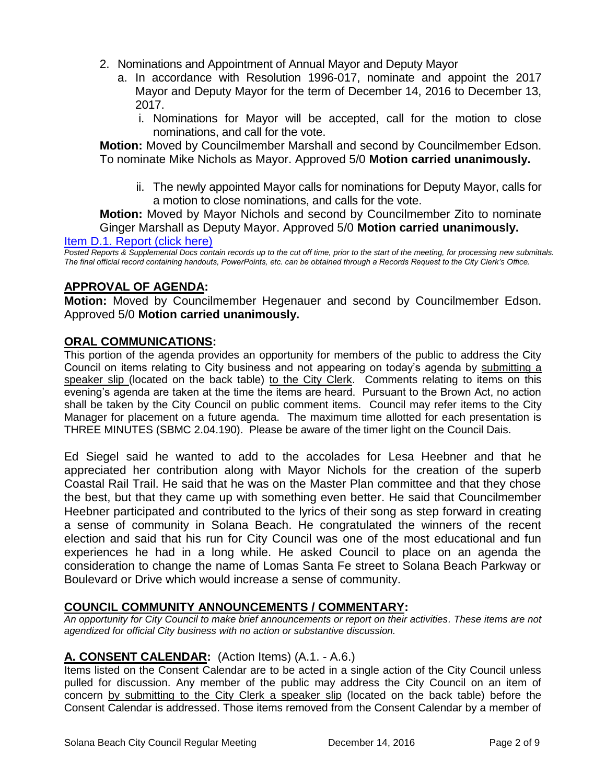- 2. Nominations and Appointment of Annual Mayor and Deputy Mayor
	- a. In accordance with Resolution 1996-017, nominate and appoint the 2017 Mayor and Deputy Mayor for the term of December 14, 2016 to December 13, 2017.
		- i. Nominations for Mayor will be accepted, call for the motion to close nominations, and call for the vote.

**Motion:** Moved by Councilmember Marshall and second by Councilmember Edson. To nominate Mike Nichols as Mayor. Approved 5/0 **Motion carried unanimously.**

ii. The newly appointed Mayor calls for nominations for Deputy Mayor, calls for a motion to close nominations, and calls for the vote.

**Motion:** Moved by Mayor Nichols and second by Councilmember Zito to nominate Ginger Marshall as Deputy Mayor. Approved 5/0 **Motion carried unanimously.**

[Item D.1. Report \(click here\)](https://solanabeach.govoffice3.com/vertical/Sites/%7B840804C2-F869-4904-9AE3-720581350CE7%7D/uploads/Item_D.1._Report_(click_here)_-_12-14-2016.PDF)

*Posted Reports & Supplemental Docs contain records up to the cut off time, prior to the start of the meeting, for processing new submittals. The final official record containing handouts, PowerPoints, etc. can be obtained through a Records Request to the City Clerk's Office.*

# **APPROVAL OF AGENDA:**

**Motion:** Moved by Councilmember Hegenauer and second by Councilmember Edson. Approved 5/0 **Motion carried unanimously.**

# **ORAL COMMUNICATIONS:**

This portion of the agenda provides an opportunity for members of the public to address the City Council on items relating to City business and not appearing on today's agenda by submitting a speaker slip (located on the back table) to the City Clerk. Comments relating to items on this evening's agenda are taken at the time the items are heard. Pursuant to the Brown Act, no action shall be taken by the City Council on public comment items. Council may refer items to the City Manager for placement on a future agenda. The maximum time allotted for each presentation is THREE MINUTES (SBMC 2.04.190). Please be aware of the timer light on the Council Dais.

Ed Siegel said he wanted to add to the accolades for Lesa Heebner and that he appreciated her contribution along with Mayor Nichols for the creation of the superb Coastal Rail Trail. He said that he was on the Master Plan committee and that they chose the best, but that they came up with something even better. He said that Councilmember Heebner participated and contributed to the lyrics of their song as step forward in creating a sense of community in Solana Beach. He congratulated the winners of the recent election and said that his run for City Council was one of the most educational and fun experiences he had in a long while. He asked Council to place on an agenda the consideration to change the name of Lomas Santa Fe street to Solana Beach Parkway or Boulevard or Drive which would increase a sense of community.

# **COUNCIL COMMUNITY ANNOUNCEMENTS / COMMENTARY:**

*An opportunity for City Council to make brief announcements or report on their activities. These items are not agendized for official City business with no action or substantive discussion.* 

# **A. CONSENT CALENDAR:** (Action Items) (A.1. - A.6.)

Items listed on the Consent Calendar are to be acted in a single action of the City Council unless pulled for discussion. Any member of the public may address the City Council on an item of concern by submitting to the City Clerk a speaker slip (located on the back table) before the Consent Calendar is addressed. Those items removed from the Consent Calendar by a member of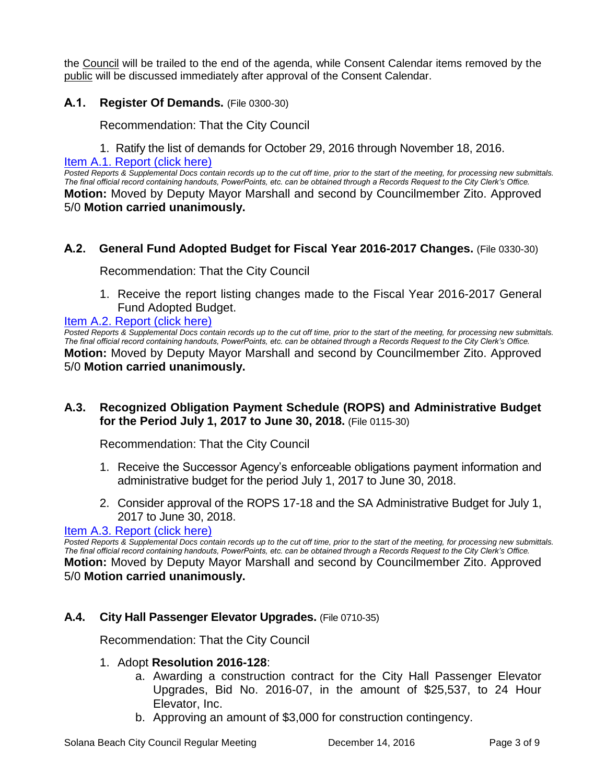the Council will be trailed to the end of the agenda, while Consent Calendar items removed by the public will be discussed immediately after approval of the Consent Calendar.

# **A.1. Register Of Demands.** (File 0300-30)

Recommendation: That the City Council

1. Ratify the list of demands for October 29, 2016 through November 18, 2016.

[Item A.1. Report \(click here\)](https://solanabeach.govoffice3.com/vertical/Sites/%7B840804C2-F869-4904-9AE3-720581350CE7%7D/uploads/Item_A.1._Report_(click_here)_-_12-14-16.PDF)

*Posted Reports & Supplemental Docs contain records up to the cut off time, prior to the start of the meeting, for processing new submittals. The final official record containing handouts, PowerPoints, etc. can be obtained through a Records Request to the City Clerk's Office.* **Motion:** Moved by Deputy Mayor Marshall and second by Councilmember Zito. Approved 5/0 **Motion carried unanimously.**

# **A.2. General Fund Adopted Budget for Fiscal Year 2016-2017 Changes.** (File 0330-30)

Recommendation: That the City Council

1. Receive the report listing changes made to the Fiscal Year 2016-2017 General Fund Adopted Budget.

#### [Item A.2. Report \(click here\)](https://solanabeach.govoffice3.com/vertical/Sites/%7B840804C2-F869-4904-9AE3-720581350CE7%7D/uploads/Item_A.2._Report_(click_here)_-_12-14-16.PDF)

*Posted Reports & Supplemental Docs contain records up to the cut off time, prior to the start of the meeting, for processing new submittals. The final official record containing handouts, PowerPoints, etc. can be obtained through a Records Request to the City Clerk's Office.* **Motion:** Moved by Deputy Mayor Marshall and second by Councilmember Zito. Approved 5/0 **Motion carried unanimously.**

# **A.3. Recognized Obligation Payment Schedule (ROPS) and Administrative Budget for the Period July 1, 2017 to June 30, 2018.** (File 0115-30)

Recommendation: That the City Council

- 1. Receive the Successor Agency's enforceable obligations payment information and administrative budget for the period July 1, 2017 to June 30, 2018.
- 2. Consider approval of the ROPS 17-18 and the SA Administrative Budget for July 1, 2017 to June 30, 2018.

#### [Item A.3. Report \(click here\)](https://solanabeach.govoffice3.com/vertical/Sites/%7B840804C2-F869-4904-9AE3-720581350CE7%7D/uploads/Item_A.3._Report_(click_here)_-_12-14-16.pdf)

*Posted Reports & Supplemental Docs contain records up to the cut off time, prior to the start of the meeting, for processing new submittals. The final official record containing handouts, PowerPoints, etc. can be obtained through a Records Request to the City Clerk's Office.* **Motion:** Moved by Deputy Mayor Marshall and second by Councilmember Zito. Approved 5/0 **Motion carried unanimously.**

# **A.4. City Hall Passenger Elevator Upgrades.** (File 0710-35)

Recommendation: That the City Council

#### 1. Adopt **Resolution 2016-128**:

- a. Awarding a construction contract for the City Hall Passenger Elevator Upgrades, Bid No. 2016-07, in the amount of \$25,537, to 24 Hour Elevator, Inc.
- b. Approving an amount of \$3,000 for construction contingency.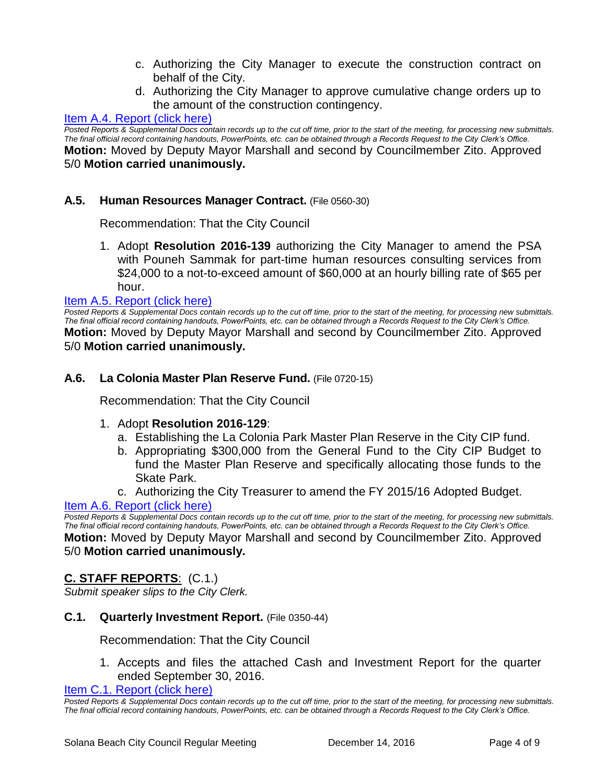- c. Authorizing the City Manager to execute the construction contract on behalf of the City.
- d. Authorizing the City Manager to approve cumulative change orders up to the amount of the construction contingency.

# Item A.4. [Report \(click here\)](https://solanabeach.govoffice3.com/vertical/Sites/%7B840804C2-F869-4904-9AE3-720581350CE7%7D/uploads/Item_A.4._Report_(click_here)_-_12-14-16.PDF)

*Posted Reports & Supplemental Docs contain records up to the cut off time, prior to the start of the meeting, for processing new submittals. The final official record containing handouts, PowerPoints, etc. can be obtained through a Records Request to the City Clerk's Office.* **Motion:** Moved by Deputy Mayor Marshall and second by Councilmember Zito. Approved 5/0 **Motion carried unanimously.**

# **A.5. Human Resources Manager Contract.** (File 0560-30)

Recommendation: That the City Council

1. Adopt **Resolution 2016-139** authorizing the City Manager to amend the PSA with Pouneh Sammak for part-time human resources consulting services from \$24,000 to a not-to-exceed amount of \$60,000 at an hourly billing rate of \$65 per hour.

#### [Item A.5. Report \(click here\)](https://solanabeach.govoffice3.com/vertical/Sites/%7B840804C2-F869-4904-9AE3-720581350CE7%7D/uploads/Item_A.5._Report_(click_here)_-_12-14-2016.PDF)

*Posted Reports & Supplemental Docs contain records up to the cut off time, prior to the start of the meeting, for processing new submittals. The final official record containing handouts, PowerPoints, etc. can be obtained through a Records Request to the City Clerk's Office.* **Motion:** Moved by Deputy Mayor Marshall and second by Councilmember Zito. Approved 5/0 **Motion carried unanimously.**

#### **A.6. La Colonia Master Plan Reserve Fund.** (File 0720-15)

Recommendation: That the City Council

#### 1. Adopt **Resolution 2016-129**:

- a. Establishing the La Colonia Park Master Plan Reserve in the City CIP fund.
- b. Appropriating \$300,000 from the General Fund to the City CIP Budget to fund the Master Plan Reserve and specifically allocating those funds to the Skate Park.
- c. Authorizing the City Treasurer to amend the FY 2015/16 Adopted Budget.

[Item A.6. Report \(click here\)](https://solanabeach.govoffice3.com/vertical/Sites/%7B840804C2-F869-4904-9AE3-720581350CE7%7D/uploads/Item_A.6._Report_(click_here)_-_12-14-16.PDF)

*Posted Reports & Supplemental Docs contain records up to the cut off time, prior to the start of the meeting, for processing new submittals. The final official record containing handouts, PowerPoints, etc. can be obtained through a Records Request to the City Clerk's Office.* **Motion:** Moved by Deputy Mayor Marshall and second by Councilmember Zito. Approved 5/0 **Motion carried unanimously.**

# **C. STAFF REPORTS**: (C.1.)

*Submit speaker slips to the City Clerk.*

#### **C.1. Quarterly Investment Report.** (File 0350-44)

Recommendation: That the City Council

1. Accepts and files the attached Cash and Investment Report for the quarter ended September 30, 2016.

[Item C.1. Report \(click here\)](https://solanabeach.govoffice3.com/vertical/Sites/%7B840804C2-F869-4904-9AE3-720581350CE7%7D/uploads/Item_C.1._Report_(click_here)_-_12-14-16.PDF)

*Posted Reports & Supplemental Docs contain records up to the cut off time, prior to the start of the meeting, for processing new submittals. The final official record containing handouts, PowerPoints, etc. can be obtained through a Records Request to the City Clerk's Office.*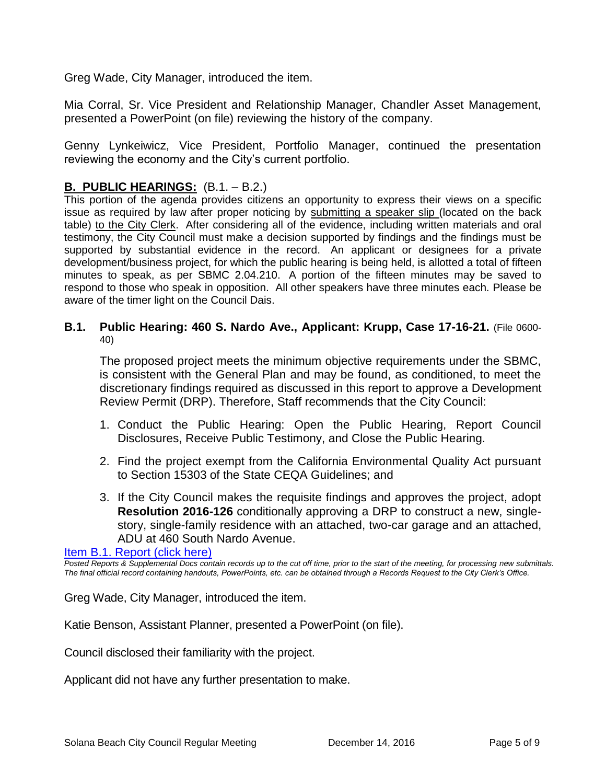Greg Wade, City Manager, introduced the item.

Mia Corral, Sr. Vice President and Relationship Manager, Chandler Asset Management, presented a PowerPoint (on file) reviewing the history of the company.

Genny Lynkeiwicz, Vice President, Portfolio Manager, continued the presentation reviewing the economy and the City's current portfolio.

# **B. PUBLIC HEARINGS:** (B.1. – B.2.)

This portion of the agenda provides citizens an opportunity to express their views on a specific issue as required by law after proper noticing by submitting a speaker slip (located on the back table) to the City Clerk. After considering all of the evidence, including written materials and oral testimony, the City Council must make a decision supported by findings and the findings must be supported by substantial evidence in the record. An applicant or designees for a private development/business project, for which the public hearing is being held, is allotted a total of fifteen minutes to speak, as per SBMC 2.04.210. A portion of the fifteen minutes may be saved to respond to those who speak in opposition. All other speakers have three minutes each. Please be aware of the timer light on the Council Dais.

#### **B.1. Public Hearing: 460 S. Nardo Ave., Applicant: Krupp, Case 17-16-21.** (File 0600- 40)

The proposed project meets the minimum objective requirements under the SBMC, is consistent with the General Plan and may be found, as conditioned, to meet the discretionary findings required as discussed in this report to approve a Development Review Permit (DRP). Therefore, Staff recommends that the City Council:

- 1. Conduct the Public Hearing: Open the Public Hearing, Report Council Disclosures, Receive Public Testimony, and Close the Public Hearing.
- 2. Find the project exempt from the California Environmental Quality Act pursuant to Section 15303 of the State CEQA Guidelines; and
- 3. If the City Council makes the requisite findings and approves the project, adopt **Resolution 2016-126** conditionally approving a DRP to construct a new, singlestory, single-family residence with an attached, two-car garage and an attached, ADU at 460 South Nardo Avenue.

#### [Item B.1. Report \(click here\)](https://solanabeach.govoffice3.com/vertical/Sites/%7B840804C2-F869-4904-9AE3-720581350CE7%7D/uploads/Item_B.1._Report_(click_here)_-_12-14-16_-_R.pdf)

*Posted Reports & Supplemental Docs contain records up to the cut off time, prior to the start of the meeting, for processing new submittals. The final official record containing handouts, PowerPoints, etc. can be obtained through a Records Request to the City Clerk's Office.*

Greg Wade, City Manager, introduced the item.

Katie Benson, Assistant Planner, presented a PowerPoint (on file).

Council disclosed their familiarity with the project.

Applicant did not have any further presentation to make.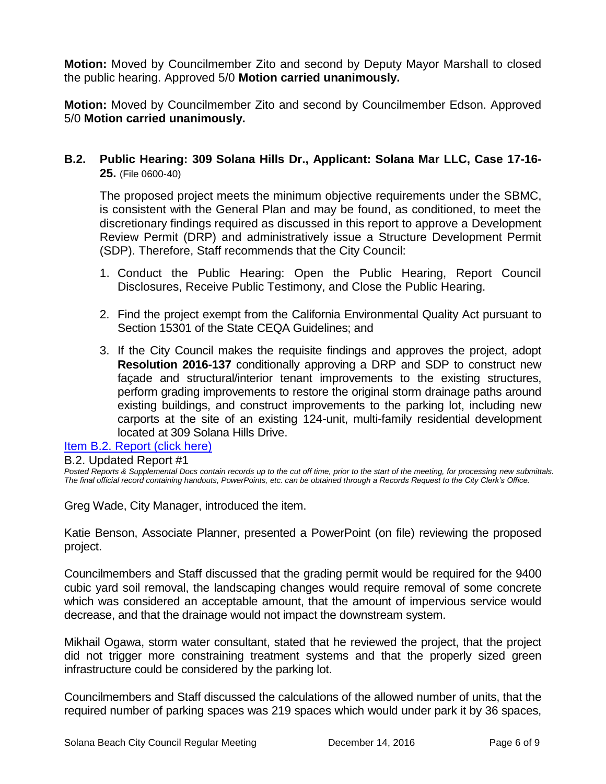**Motion:** Moved by Councilmember Zito and second by Deputy Mayor Marshall to closed the public hearing. Approved 5/0 **Motion carried unanimously.**

**Motion:** Moved by Councilmember Zito and second by Councilmember Edson. Approved 5/0 **Motion carried unanimously.**

**B.2. Public Hearing: 309 Solana Hills Dr., Applicant: Solana Mar LLC, Case 17-16- 25.** (File 0600-40)

The proposed project meets the minimum objective requirements under the SBMC, is consistent with the General Plan and may be found, as conditioned, to meet the discretionary findings required as discussed in this report to approve a Development Review Permit (DRP) and administratively issue a Structure Development Permit (SDP). Therefore, Staff recommends that the City Council:

- 1. Conduct the Public Hearing: Open the Public Hearing, Report Council Disclosures, Receive Public Testimony, and Close the Public Hearing.
- 2. Find the project exempt from the California Environmental Quality Act pursuant to Section 15301 of the State CEQA Guidelines; and
- 3. If the City Council makes the requisite findings and approves the project, adopt **Resolution 2016-137** conditionally approving a DRP and SDP to construct new façade and structural/interior tenant improvements to the existing structures, perform grading improvements to restore the original storm drainage paths around existing buildings, and construct improvements to the parking lot, including new carports at the site of an existing 124-unit, multi-family residential development located at 309 Solana Hills Drive.

[Item B.2. Report \(click here\)](https://solanabeach.govoffice3.com/vertical/Sites/%7B840804C2-F869-4904-9AE3-720581350CE7%7D/uploads/Item_B.2._Report_(click_here)_-_12-14-16.PDF)

B.2. Updated Report #1

*Posted Reports & Supplemental Docs contain records up to the cut off time, prior to the start of the meeting, for processing new submittals. The final official record containing handouts, PowerPoints, etc. can be obtained through a Records Request to the City Clerk's Office.*

Greg Wade, City Manager, introduced the item.

Katie Benson, Associate Planner, presented a PowerPoint (on file) reviewing the proposed project.

Councilmembers and Staff discussed that the grading permit would be required for the 9400 cubic yard soil removal, the landscaping changes would require removal of some concrete which was considered an acceptable amount, that the amount of impervious service would decrease, and that the drainage would not impact the downstream system.

Mikhail Ogawa, storm water consultant, stated that he reviewed the project, that the project did not trigger more constraining treatment systems and that the properly sized green infrastructure could be considered by the parking lot.

Councilmembers and Staff discussed the calculations of the allowed number of units, that the required number of parking spaces was 219 spaces which would under park it by 36 spaces,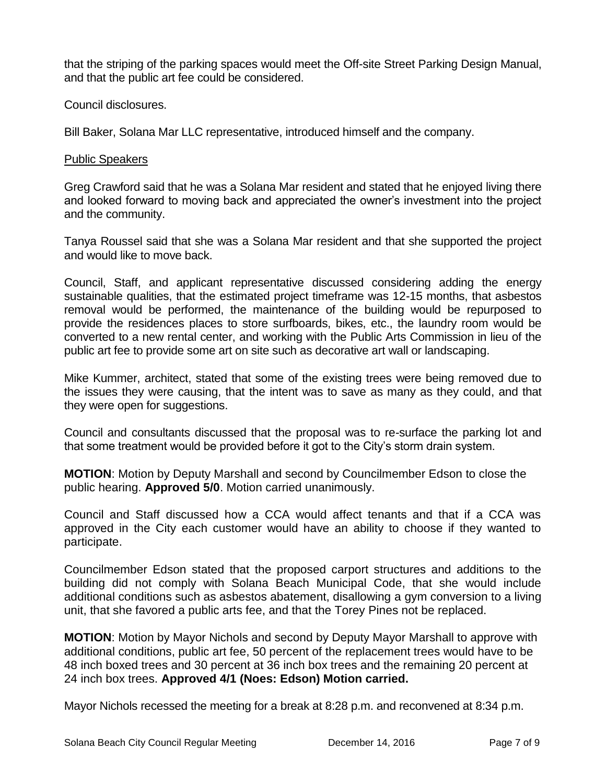that the striping of the parking spaces would meet the Off-site Street Parking Design Manual, and that the public art fee could be considered.

Council disclosures.

Bill Baker, Solana Mar LLC representative, introduced himself and the company.

#### Public Speakers

Greg Crawford said that he was a Solana Mar resident and stated that he enjoyed living there and looked forward to moving back and appreciated the owner's investment into the project and the community.

Tanya Roussel said that she was a Solana Mar resident and that she supported the project and would like to move back.

Council, Staff, and applicant representative discussed considering adding the energy sustainable qualities, that the estimated project timeframe was 12-15 months, that asbestos removal would be performed, the maintenance of the building would be repurposed to provide the residences places to store surfboards, bikes, etc., the laundry room would be converted to a new rental center, and working with the Public Arts Commission in lieu of the public art fee to provide some art on site such as decorative art wall or landscaping.

Mike Kummer, architect, stated that some of the existing trees were being removed due to the issues they were causing, that the intent was to save as many as they could, and that they were open for suggestions.

Council and consultants discussed that the proposal was to re-surface the parking lot and that some treatment would be provided before it got to the City's storm drain system.

**MOTION**: Motion by Deputy Marshall and second by Councilmember Edson to close the public hearing. **Approved 5/0**. Motion carried unanimously.

Council and Staff discussed how a CCA would affect tenants and that if a CCA was approved in the City each customer would have an ability to choose if they wanted to participate.

Councilmember Edson stated that the proposed carport structures and additions to the building did not comply with Solana Beach Municipal Code, that she would include additional conditions such as asbestos abatement, disallowing a gym conversion to a living unit, that she favored a public arts fee, and that the Torey Pines not be replaced.

**MOTION**: Motion by Mayor Nichols and second by Deputy Mayor Marshall to approve with additional conditions, public art fee, 50 percent of the replacement trees would have to be 48 inch boxed trees and 30 percent at 36 inch box trees and the remaining 20 percent at 24 inch box trees. **Approved 4/1 (Noes: Edson) Motion carried.**

Mayor Nichols recessed the meeting for a break at 8:28 p.m. and reconvened at 8:34 p.m.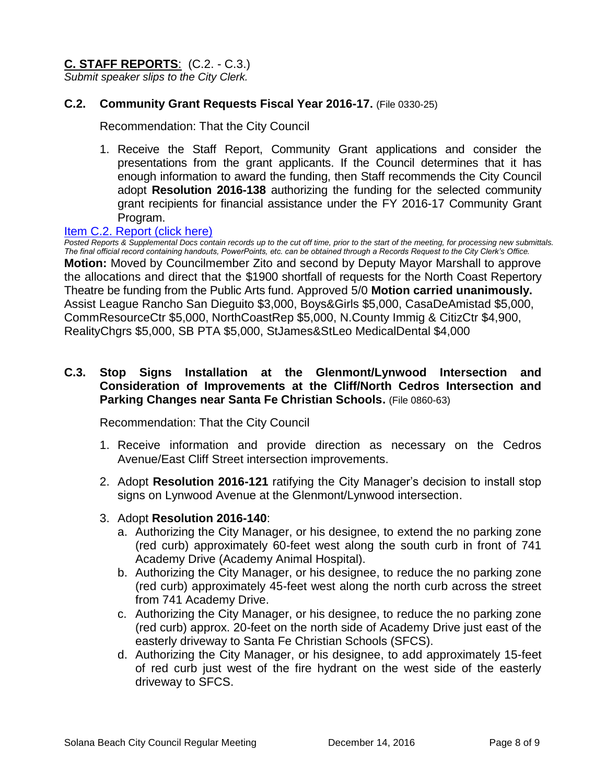# **C. STAFF REPORTS**: (C.2. - C.3.)

*Submit speaker slips to the City Clerk.*

# **C.2. Community Grant Requests Fiscal Year 2016-17.** (File 0330-25)

Recommendation: That the City Council

1. Receive the Staff Report, Community Grant applications and consider the presentations from the grant applicants. If the Council determines that it has enough information to award the funding, then Staff recommends the City Council adopt **Resolution 2016-138** authorizing the funding for the selected community grant recipients for financial assistance under the FY 2016-17 Community Grant Program.

#### [Item C.2. Report \(click here\)](https://solanabeach.govoffice3.com/vertical/Sites/%7B840804C2-F869-4904-9AE3-720581350CE7%7D/uploads/Item_C.2._Report_(click_here)_-_12-14-16.PDF)

*Posted Reports & Supplemental Docs contain records up to the cut off time, prior to the start of the meeting, for processing new submittals. The final official record containing handouts, PowerPoints, etc. can be obtained through a Records Request to the City Clerk's Office.* **Motion:** Moved by Councilmember Zito and second by Deputy Mayor Marshall to approve the allocations and direct that the \$1900 shortfall of requests for the North Coast Repertory Theatre be funding from the Public Arts fund. Approved 5/0 **Motion carried unanimously.** Assist League Rancho San Dieguito \$3,000, Boys&Girls \$5,000, CasaDeAmistad \$5,000, CommResourceCtr \$5,000, NorthCoastRep \$5,000, N.County Immig & CitizCtr \$4,900, RealityChgrs \$5,000, SB PTA \$5,000, StJames&StLeo MedicalDental \$4,000

# **C.3. Stop Signs Installation at the Glenmont/Lynwood Intersection and Consideration of Improvements at the Cliff/North Cedros Intersection and Parking Changes near Santa Fe Christian Schools.** (File 0860-63)

Recommendation: That the City Council

- 1. Receive information and provide direction as necessary on the Cedros Avenue/East Cliff Street intersection improvements.
- 2. Adopt **Resolution 2016-121** ratifying the City Manager's decision to install stop signs on Lynwood Avenue at the Glenmont/Lynwood intersection.
- 3. Adopt **Resolution 2016-140**:
	- a. Authorizing the City Manager, or his designee, to extend the no parking zone (red curb) approximately 60-feet west along the south curb in front of 741 Academy Drive (Academy Animal Hospital).
	- b. Authorizing the City Manager, or his designee, to reduce the no parking zone (red curb) approximately 45-feet west along the north curb across the street from 741 Academy Drive.
	- c. Authorizing the City Manager, or his designee, to reduce the no parking zone (red curb) approx. 20-feet on the north side of Academy Drive just east of the easterly driveway to Santa Fe Christian Schools (SFCS).
	- d. Authorizing the City Manager, or his designee, to add approximately 15-feet of red curb just west of the fire hydrant on the west side of the easterly driveway to SFCS.